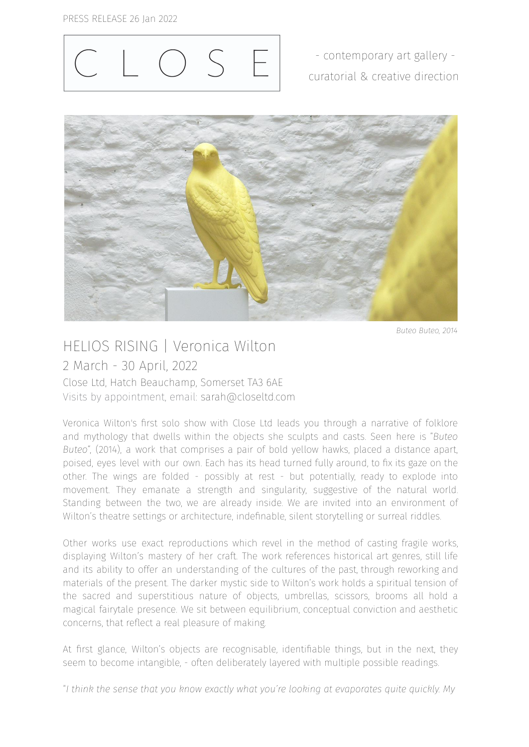

- contemporary art gallery curatorial & creative direction



*Buteo Buteo, 2014*

## HELIOS RISING | Veronica Wilton 2 March - 30 April, 2022 Close Ltd, Hatch Beauchamp, Somerset TA3 6AE

Visits by appointment, email: sarah@closeltd.com

Veronica Wilton's first solo show with Close Ltd leads you through a narrative of folklore and mythology that dwells within the objects she sculpts and casts. Seen here is "*Buteo Buteo*", (2014), a work that comprises a pair of bold yellow hawks, placed a distance apart, poised, eyes level with our own. Each has its head turned fully around, to fix its gaze on the other. The wings are folded - possibly at rest - but potentially, ready to explode into movement. They emanate a strength and singularity, suggestive of the natural world. Standing between the two, we are already inside. We are invited into an environment of Wilton's theatre settings or architecture, indefinable, silent storytelling or surreal riddles.

Other works use exact reproductions which revel in the method of casting fragile works, displaying Wilton's mastery of her craft. The work references historical art genres, still life and its ability to offer an understanding of the cultures of the past, through reworking and materials of the present. The darker mystic side to Wilton's work holds a spiritual tension of the sacred and superstitious nature of objects, umbrellas, scissors, brooms all hold a magical fairytale presence. We sit between equilibrium, conceptual conviction and aesthetic concerns, that reflect a real pleasure of making.

At first glance, Wilton's objects are recognisable, identifiable things, but in the next, they seem to become intangible, - often deliberately layered with multiple possible readings.

"*I think the sense that you know exactly what you're looking at evaporates quite quickly. My*